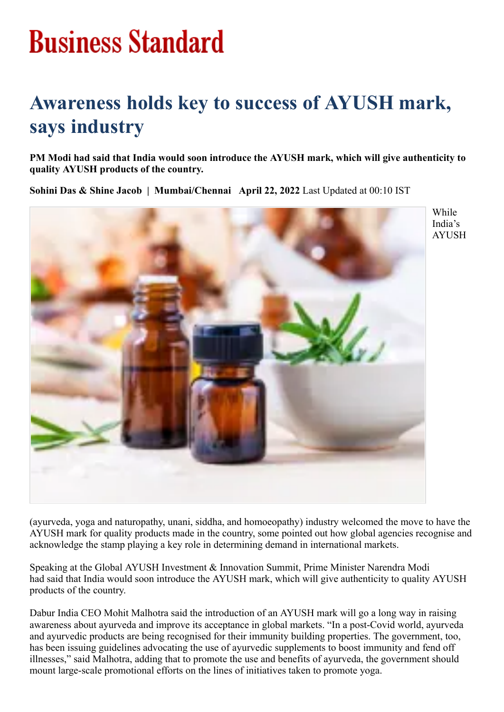## **Business Standard**

## **Awareness holds key to success of AYUSH mark, says industry**

**PM Modi had said that India would soon introduce the AYUSH mark, which will give authenticity to quality AYUSH products of the country.**

**Sohini Das & Shine Jacob | Mumbai/Chennai April 22, 2022** Last Updated at 00:10 IST



While India's AYUSH

(ayurveda, yoga and naturopathy, unani, siddha, and homoeopathy) industry welcomed the move to have the AYUSH mark for quality products made in the country, some pointed out how global agencies recognise and acknowledge the stamp playing a key role in determining demand in international markets.

Speaking at the Global AYUSH Investment & Innovation Summit, Prime Minister Narendra Modi had said that India would soon introduce the AYUSH mark, which will give authenticity to quality AYUSH products of the country.

Dabur India CEO Mohit Malhotra said the introduction of an AYUSH mark will go a long way in raising awareness about ayurveda and improve its acceptance in global markets. "In a post-Covid world, ayurveda and ayurvedic products are being recognised for their immunity building properties. The government, too, has been issuing guidelines advocating the use of ayurvedic supplements to boost immunity and fend off illnesses," said Malhotra, adding that to promote the use and benefits of ayurveda, the government should mount large-scale promotional efforts on the lines of initiatives taken to promote yoga.